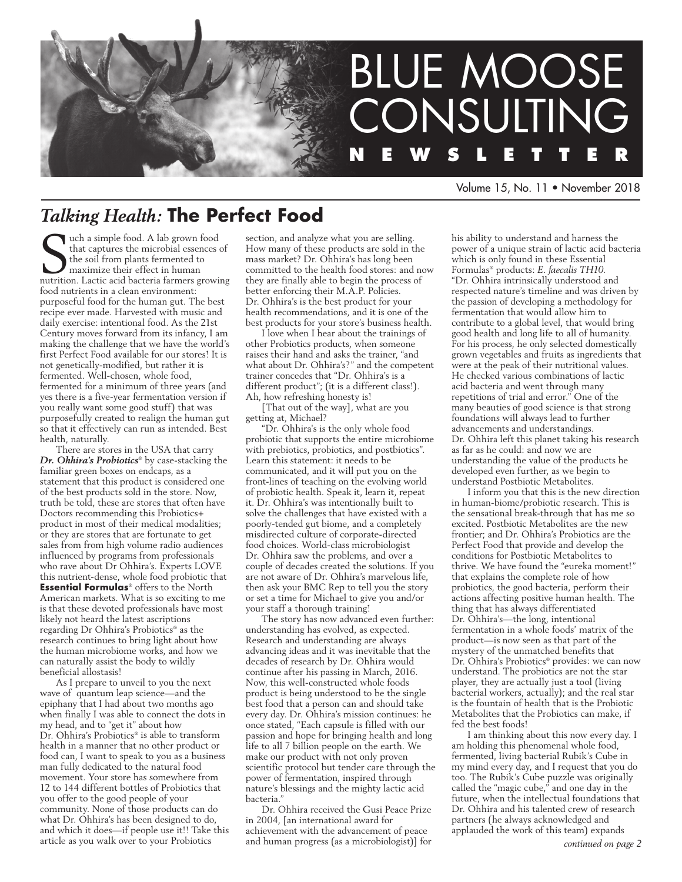

Volume 15, No. 11 • November 2018

# *Talking Health:* **The Perfect Food**

**S** uch a simple food. A lab grown food<br>that captures the microbial essences of<br>the soil from plants fermented to<br>maximize their effect in human<br>nutrition. Lactic acid bacteria farmers growing uch a simple food. A lab grown food that captures the microbial essences of the soil from plants fermented to maximize their effect in human food nutrients in a clean environment: purposeful food for the human gut. The best recipe ever made. Harvested with music and daily exercise: intentional food. As the 21st Century moves forward from its infancy, I am making the challenge that we have the world's first Perfect Food available for our stores! It is not genetically-modified, but rather it is fermented. Well-chosen, whole food, fermented for a minimum of three years (and yes there is a five-year fermentation version if you really want some good stuff) that was purposefully created to realign the human gut so that it effectively can run as intended. Best health, naturally.

There are stores in the USA that carry *Dr. Ohhira's Probiotics*® by case-stacking the familiar green boxes on endcaps, as a statement that this product is considered one of the best products sold in the store. Now, truth be told, these are stores that often have Doctors recommending this Probiotics+ product in most of their medical modalities; or they are stores that are fortunate to get sales from from high volume radio audiences influenced by programs from professionals who rave about Dr Ohhira's. Experts LOVE this nutrient-dense, whole food probiotic that **Essential Formulas**® offers to the North American markets. What is so exciting to me is that these devoted professionals have most likely not heard the latest ascriptions regarding Dr Ohhira's Probiotics® as the research continues to bring light about how the human microbiome works, and how we can naturally assist the body to wildly beneficial allostasis!

As I prepare to unveil to you the next wave of quantum leap science—and the epiphany that I had about two months ago when finally I was able to connect the dots in my head, and to "get it" about how Dr. Ohhira's Probiotics® is able to transform health in a manner that no other product or food can, I want to speak to you as a business man fully dedicated to the natural food movement. Your store has somewhere from 12 to 144 different bottles of Probiotics that you offer to the good people of your community. None of those products can do what Dr. Ohhira's has been designed to do, and which it does—if people use it!! Take this article as you walk over to your Probiotics

section, and analyze what you are selling. How many of these products are sold in the mass market? Dr. Ohhira's has long been committed to the health food stores: and now they are finally able to begin the process of better enforcing their M.A.P. Policies. Dr. Ohhira's is the best product for your health recommendations, and it is one of the best products for your store's business health.

I love when I hear about the trainings of other Probiotics products, when someone raises their hand and asks the trainer, "and what about Dr. Ohhira's?" and the competent trainer concedes that "Dr. Ohhira's is a different product"; (it is a different class!). Ah, how refreshing honesty is!

[That out of the way], what are you getting at, Michael?

"Dr. Ohhira's is the only whole food probiotic that supports the entire microbiome with prebiotics, probiotics, and postbiotics". Learn this statement: it needs to be communicated, and it will put you on the front-lines of teaching on the evolving world of probiotic health. Speak it, learn it, repeat it. Dr. Ohhira's was intentionally built to solve the challenges that have existed with a poorly-tended gut biome, and a completely misdirected culture of corporate-directed food choices. World-class microbiologist Dr. Ohhira saw the problems, and over a couple of decades created the solutions. If you are not aware of Dr. Ohhira's marvelous life, then ask your BMC Rep to tell you the story or set a time for Michael to give you and/or your staff a thorough training!

The story has now advanced even further: understanding has evolved, as expected. Research and understanding are always advancing ideas and it was inevitable that the decades of research by Dr. Ohhira would continue after his passing in March, 2016. Now, this well-constructed whole foods product is being understood to be the single best food that a person can and should take every day. Dr. Ohhira's mission continues: he once stated, "Each capsule is filled with our passion and hope for bringing health and long life to all 7 billion people on the earth. We make our product with not only proven scientific protocol but tender care through the power of fermentation, inspired through nature's blessings and the mighty lactic acid bacteria."

Dr. Ohhira received the Gusi Peace Prize in 2004, [an international award for achievement with the advancement of peace and human progress (as a microbiologist)] for his ability to understand and harness the power of a unique strain of lactic acid bacteria which is only found in these Essential Formulas® products: *E. faecalis TH10*. "Dr. Ohhira intrinsically understood and respected nature's timeline and was driven by the passion of developing a methodology for fermentation that would allow him to contribute to a global level, that would bring good health and long life to all of humanity. For his process, he only selected domestically grown vegetables and fruits as ingredients that were at the peak of their nutritional values. He checked various combinations of lactic acid bacteria and went through many repetitions of trial and error." One of the many beauties of good science is that strong foundations will always lead to further advancements and understandings. Dr. Ohhira left this planet taking his research as far as he could: and now we are understanding the value of the products he developed even further, as we begin to understand Postbiotic Metabolites.

I inform you that this is the new direction in human-biome/probiotic research. This is the sensational break-through that has me so excited. Postbiotic Metabolites are the new frontier; and Dr. Ohhira's Probiotics are the Perfect Food that provide and develop the conditions for Postbiotic Metabolites to thrive. We have found the "eureka moment!" that explains the complete role of how probiotics, the good bacteria, perform their actions affecting positive human health. The thing that has always differentiated Dr. Ohhira's—the long, intentional fermentation in a whole foods' matrix of the product—is now seen as that part of the mystery of the unmatched benefits that Dr. Ohhira's Probiotics® provides: we can now understand. The probiotics are not the star player, they are actually just a tool (living bacterial workers, actually); and the real star is the fountain of health that is the Probiotic Metabolites that the Probiotics can make, if fed the best foods!

I am thinking about this now every day. I am holding this phenomenal whole food, fermented, living bacterial Rubik's Cube in my mind every day, and I request that you do too. The Rubik's Cube puzzle was originally called the "magic cube," and one day in the future, when the intellectual foundations that Dr. Ohhira and his talented crew of research partners (he always acknowledged and applauded the work of this team) expands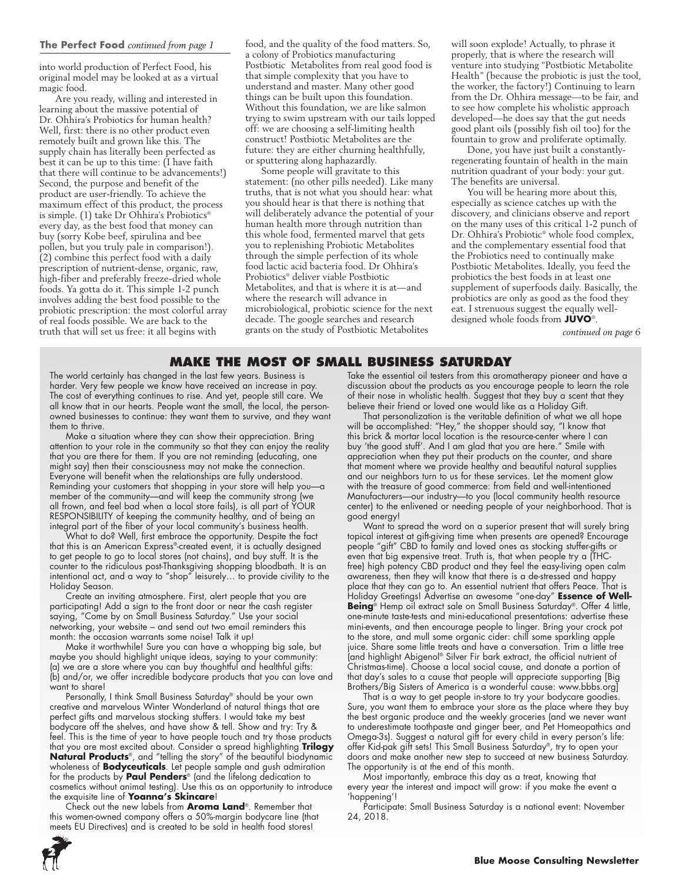into world production of Perfect Food, his original model may be looked at as a virtual magic food.

Are you ready, willing and interested in learning about the massive potential of Dr. Ohhira's Probiotics for human health? Well, first: there is no other product even remotely built and grown like this. The supply chain has literally been perfected as best it can be up to this time: (I have faith that there will continue to be advancements!) Second, the purpose and benefit of the product are user-friendly. To achieve the maximum effect of this product, the process is simple. (1) take Dr Ohhira's Probiotics® every day, as the best food that money can buy (sorry Kobe beef, spirulina and bee pollen, but you truly pale in comparison!). (2) combine this perfect food with a daily prescription of nutrient-dense, organic, raw, high-fiber and preferably freeze-dried whole foods. Ya gotta do it. This simple 1-2 punch involves adding the best food possible to the probiotic prescription: the most colorful array of real foods possible. We are back to the truth that will set us free: it all begins with

food, and the quality of the food matters. So, a colony of Probiotics manufacturing Postbiotic Metabolites from real good food is that simple complexity that you have to understand and master. Many other good things can be built upon this foundation. Without this foundation, we are like salmon trying to swim upstream with our tails lopped off: we are choosing a self-limiting health construct! Postbiotic Metabolites are the future: they are either churning healthfully, or sputtering along haphazardly.

Some people will gravitate to this statement: (no other pills needed). Like many truths, that is not what you should hear: what you should hear is that there is nothing that will deliberately advance the potential of your human health more through nutrition than this whole food, fermented marvel that gets you to replenishing Probiotic Metabolites through the simple perfection of its whole food lactic acid bacteria food. Dr Ohhira's Probiotics® deliver viable Postbiotic Metabolites, and that is where it is at—and where the research will advance in microbiological, probiotic science for the next decade. The google searches and research grants on the study of Postbiotic Metabolites

will soon explode! Actually, to phrase it properly, that is where the research will venture into studying "Postbiotic Metabolite Health" (because the probiotic is just the tool, the worker, the factory!) Continuing to learn from the Dr. Ohhira message—to be fair, and to see how complete his wholistic approach developed—he does say that the gut needs good plant oils (possibly fish oil too) for the fountain to grow and proliferate optimally.

Done, you have just built a constantlyregenerating fountain of health in the main nutrition quadrant of your body: your gut. The benefits are universal.

You will be hearing more about this, especially as science catches up with the discovery, and clinicians observe and report on the many uses of this critical 1-2 punch of Dr. Ohhira's Probiotic® whole food complex, and the complementary essential food that the Probiotics need to continually make Postbiotic Metabolites. Ideally, you feed the probiotics the best foods in at least one supplement of superfoods daily. Basically, the probiotics are only as good as the food they eat. I strenuous suggest the equally welldesigned whole foods from **JUVO**®.

*continued on page 6*

## **MAKE THE MOST OF Small Business Saturday**

The world certainly has changed in the last few years. Business is harder. Very few people we know have received an increase in pay. The cost of everything continues to rise. And yet, people still care. We all know that in our hearts. People want the small, the local, the personowned businesses to continue: they want them to survive, and they want them to thrive.

Make a situation where they can show their appreciation. Bring attention to your role in the community so that they can enjoy the reality that you are there for them. If you are not reminding (educating, one might say) then their consciousness may not make the connection. Everyone will benefit when the relationships are fully understood. Reminding your customers that shopping in your store will help you—a member of the community—and will keep the community strong (we all frown, and feel bad when a local store fails), is all part of YOUR RESPONSIBILITY of keeping the community healthy, and of being an integral part of the fiber of your local community's business health.

What to do? Well, first embrace the opportunity. Despite the fact that this is an American Express®-created event, it is actually designed to get people to go to local stores (not chains), and buy stuff. It is the counter to the ridiculous post-Thanksgiving shopping bloodbath. It is an intentional act, and a way to "shop" leisurely... to provide civility to the Holiday Season.

Create an inviting atmosphere. First, alert people that you are participating! Add a sign to the front door or near the cash register saying, "Come by on Small Business Saturday." Use your social networking, your website – and send out two email reminders this month: the occasion warrants some noise! Talk it up!

Make it worthwhile! Sure you can have a whopping big sale, but maybe you should highlight unique ideas, saying to your community: (a) we are a store where you can buy thoughtful and healthful gifts: (b) and/or, we offer incredible bodycare products that you can love and want to share!

Personally, I think Small Business Saturday® should be your own creative and marvelous Winter Wonderland of natural things that are perfect gifts and marvelous stocking stuffers. I would take my best bodycare off the shelves, and have show & tell. Show and try: Try & feel. This is the time of year to have people touch and try those products that you are most excited about. Consider a spread highlighting **Trilogy Natural Products**®, and "telling the story" of the beautiful biodynamic wholeness of **Bodyceuticals**. Let people sample and gush admiration for the products by **Paul Penders**® (and the lifelong dedication to cosmetics without animal testing). Use this as an opportunity to introduce the exquisite line of **Yoanna's Skincare**!

Check out the new labels from **Aroma Land**®. Remember that this women-owned company offers a 50%-margin bodycare line (that meets EU Directives) and is created to be sold in health food stores!

Take the essential oil testers from this aromatherapy pioneer and have a discussion about the products as you encourage people to learn the role of their nose in wholistic health. Suggest that they buy a scent that they believe their friend or loved one would like as a Holiday Gift.

That personalization is the veritable definition of what we all hope will be accomplished: "Hey," the shopper should say, "I know that this brick & mortar local location is the resource-center where I can buy 'the good stuff'. And I am glad that you are here." Smile with appreciation when they put their products on the counter, and share that moment where we provide healthy and beautiful natural supplies and our neighbors turn to us for these services. Let the moment glow with the treasure of good commerce: from field and well-intentioned Manufacturers—our industry—to you (local community health resource center) to the enlivened or needing people of your neighborhood. That is good energy!

Want to spread the word on a superior present that will surely bring topical interest at gift-giving time when presents are opened? Encourage people "gift" CBD to family and loved ones as stocking stuffer-gifts or even that big expensive treat. Truth is, that when people try a (THCfree) high potency CBD product and they feel the easy-living open calm awareness, then they will know that there is a de-stressed and happy place that they can go to. An essential nutrient that offers Peace. That is Holiday Greetings! Advertise an awesome "one-day" **Essence of Well-Being**® Hemp oil extract sale on Small Business Saturday®. Offer 4 little, one-minute taste-tests and mini-educational presentations: advertise these mini-events, and then encourage people to linger. Bring your crock pot to the store, and mull some organic cider: chill some sparkling apple juice. Share some little treats and have a conversation. Trim a little tree (and highlight Abigenol® Silver Fir bark extract, the official nutrient of Christmas-time). Choose a local social cause, and donate a portion of that day's sales to a cause that people will appreciate supporting [Big Brothers/Big Sisters of America is a wonderful cause: www.bbbs.org]

That is a way to get people in-store to try your bodycare goodies. Sure, you want them to embrace your store as the place where they buy the best organic produce and the weekly groceries (and we never want to underestimate toothpaste and ginger beer, and Pet Homeopathics and Omega-3s). Suggest a natural gift for every child in every person's life: offer Kid-pak gift sets! This Small Business Saturday®, try to open your doors and make another new step to succeed at new business Saturday. The opportunity is at the end of this month.

Most importantly, embrace this day as a treat, knowing that every year the interest and impact will grow: if you make the event a 'happening'!

Participate: Small Business Saturday is a national event: November 24, 2018.

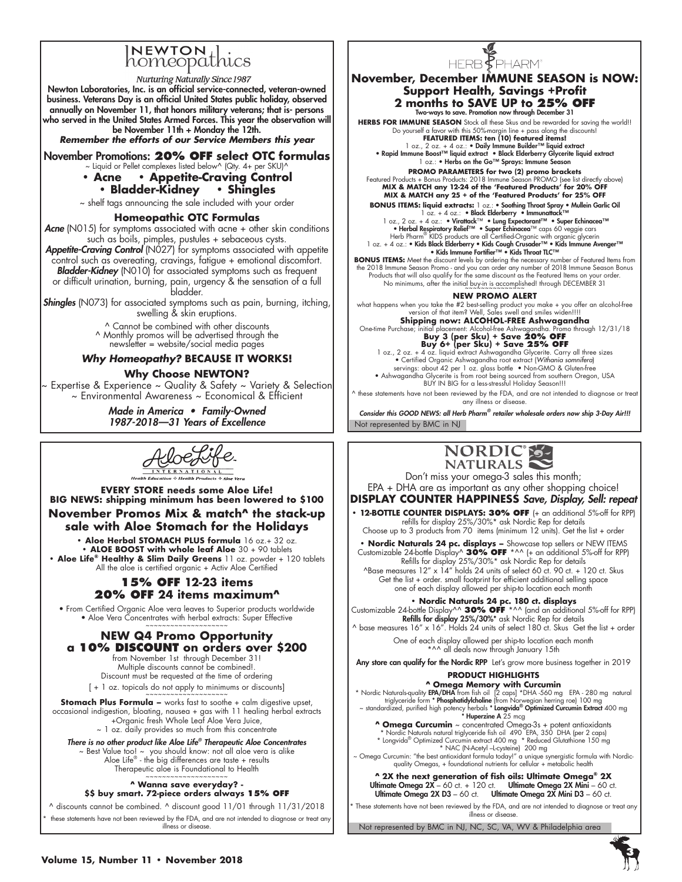# INEWTON thics

**Nurturing Naturally Since 1987** Newton Laboratories, Inc. is an official service-connected, veteran-owned business. Veterans Day is an official United States public holiday, observed annually on November 11, that honors military veterans; that is- persons who served in the United States Armed Forces. This year the observation will be November 11th + Monday the 12th.

*Remember the efforts of our Service Members this year*

November Promotions: **20% OFF select OTC formulas**  $\sim$  Liquid or Pellet complexes listed below^ (Qty. 4+ per SKU)^

# **• Acne • Appetite-Craving Control**

## **• Bladder-Kidney • Shingles**

~ shelf tags announcing the sale included with your order

## **Homeopathic OTC Formulas**

Acne (N015) for symptoms associated with acne + other skin conditions such as boils, pimples, pustules + sebaceous cysts.

*Appetite-Craving Control* (N027) for symptoms associated with appetite control such as overeating, cravings, fatigue + emotional discomfort. *Bladder-Kidney* (N010) for associated symptoms such as frequent or difficult urination, burning, pain, urgency & the sensation of a full bladder.

**Shingles** (N073) for associated symptoms such as pain, burning, itching, swelling & skin eruptions.

> ^ Cannot be combined with other discounts ^ Monthly promos will be advertised through the newsletter = website/social media pages

## *Why Homeopathy?* **BECAUSE IT WORKS!**

## **Why Choose NEWTON?**

Expertise & Experience ~ Quality & Safety ~ Variety & Selection ~ Environmental Awareness ~ Economical & Efficient

> Made in America • Family-Owned *1987-2018—31 Years of Excellence*

AloeLi

## **EVERY STORE needs some Aloe Life! BIG NEWS: shipping minimum has been lowered to \$100 November Promos Mix & match^ the stack-up sale with Aloe Stomach for the Holidays**

**• Aloe Herbal STOMACH PLUS formula** 16 oz.+ 32 oz. **• ALOE BOOST with whole leaf Aloe** 30 + 90 tablets • **Aloe Life<sup>®</sup> Healthy & Slim Daily Greens** 11 oz. powder + 120 tablets<br>All the aloe is certified organic + Activ Aloe Certified

## **15% OFF 12-23 items 20% OFF 24 items maximum^**

• From Certified Organic Aloe vera leaves to Superior products worldwide • Aloe Vera Concentrates with herbal extracts: Super Effective

## **NEW Q4 Promo Opportunity a 10% discount on orders over \$200**

from November 1st through December 31! Multiple discounts cannot be combined!. Discount must be requested at the time of ordering  $[ + 1$  oz. topicals do not apply to minimums or discounts]

**Stomach Plus Formula –** works fast to soothe + calm digestive upset, occasional indigestion, bloating, nausea + gas with 11 healing herbal extracts +Organic fresh Whole Leaf Aloe Vera Juice,

~ 1 oz. daily provides so much from this concentrate

## *There is no other product like Aloe Life® Therapeutic Aloe Concentrates*

~ Best Value too! ~ you should know: not all aloe vera is alike Aloe Life® - the big differences are taste + results Therapeutic aloe is Foundational to Health

## **^ Wanna save everyday? -**

**\$\$ buy smart. 72-piece orders always 15% OFF**

^ discounts cannot be combined. ^ discount good 11/01 through 11/31/2018 these statements have not been reviewed by the FDA, and are not intended to diagnose or treat any illness or disease.



## **November, December IMMUNE SEASON is NOW: Support Health, Savings +Profit 2 months to SAVE UP to 25% OFF**

Two-ways to save. Promotion now through December 31 **HERBS FOR IMMUNE SEASON** Stock all these Skus and be rewarded for saving the world!! Do yourself a favor with this 50%-margin line + pass along the discounts! **FEATURED ITEMS: ten (10) featured items!**

1 oz., 2 oz. + 4 oz.: • Daily Immune Builder™ liquid extract<br>• Rapid Immune Boost™ liquid extract • Black Elderberry Glycerite liquid extract<br>• Rosson a loz.: • Herbs on the Go™ Sprays: Immune Season

**PROMO PARAMETERS for two (2) promo brackets**  Featured Products + Bonus Products: 2018 Immune Season PROMO (see list directly above) **MIX & MATCH any 12-24 of the 'Featured Products' for 20% OFF MIX & MATCH any 25 + of the 'Featured Products' for 25% OFF**

**BONUS ITEMS: liquid extracts:** 1 oz.: • Soothing Throat Spray • Mullein Garlic Oil<br>
1 oz., 2 oz. + 4 oz.: • Nicathof Herberry • Immunatela<sup>k TM</sup><br>
1 oz., 2 oz. + 4 oz.: • Virathack<sup>TM</sup> • Lung Expectrant<sup>TM</sup> • Super Echina

**BONUS ITEMS:** Meet the discount levels by ordering the necessary number of Featured Items from<br>the 2018 Immune Season Promo - and you can order any number of 2018 Immune Season Bonus<br>Products that will also qualify for th

## **NEW PROMO ALERT**

what happens when you take the #2 best-selling product you make + you offer an alcohol-free version of that item? Well, Sales swell and smiles widen!!!!

Shipping now: ALCOHOL-FREE Ashwagandha<br>One-time Purchase; initial placement: Alcohol-free Ashwagandha. Promo through 12/31/18<br>Buy 3 (per Sku) + Save 20% OFF<br>l oz., 2 oz. + 4 oz. liquid extract Ashwagandha Glycerite. Carry

• Certified Organic Ashwagandha root extract (*Withania somnifera*) servings: about 42 per 1 oz. glass bottle • Non-GMO & Gluten-free<br>• Ashwagandha Glycerite is from root being sourced from southern Oregon, USA<br>• BUY IN BIG for a less-stressful Holiday Season!!!

^ these statements have not been reviewed by the FDA, and are not intended to diagnose or treat any illness or disease.

Not represented by BMC in NJ Consider this GOOD NEWS: all Herb Pharm*®* retailer wholesale orders now ship 3-Day Air!!!



Don't miss your omega-3 sales this month;

EPA + DHA are as important as any other shopping choice! **DISPLAY COUNTER HAPPINESS** Save, Display, Sell: repeat

**• 12-BOTTLE COUNTER DISPLAYS: 30% OFF** (+ an additional 5%-off for RPP) refills for display 25%/30%\* ask Nordic Rep for details

Choose up to 3 products from 70 items (minimum 12 units). Get the list + order

**• Nordic Naturals 24 pc. displays –** Showcase top sellers or NEW ITEMS Customizable 24-bottle Display^ **30% OFF** \*^^ (+ an additional 5%-off for RPP) Refills for display 25%/30%\* ask Nordic Rep for details

 $^{\wedge}$ Base measures 12" x 14" holds 24 units of select 60 ct. 90 ct. + 120 ct. Skus Get the list + order. small footprint for efficient additional selling space one of each display allowed per ship-to location each month

**• Nordic Naturals 24 pc. 180 ct. displays •**<br>Customizable 24-bottle Display^^ **30% OFF** \*^^ (and an additional 5%-off for RPP)<br>Refills for display 25%/30%\* ask Nordic Rep for details

 $\land$  base measures 16" x 16". Holds 24 units of select 180 ct. Skus Get the list + order One of each display allowed per ship-to location each month

\*^^ all deals now through January 15th

Any store can qualify for the Nordic RPP Let's grow more business together in 2019 **PRODUCT HIGHLIGHTS**

A Omega Memory with Curcumin<br>
Nordic Naturalsquality EPA/DHA from fish oil [2 caps] \*DHA -560 mg EPA - 280 mg natural<br>
triglyceride form \* Phosphatidykholine (from Norwegian herring roe) 100 mg<br>
~ standardized, purified hi

- 
- **Omega Curcumin** ~ concentrated Omega-3s + potent antioxidants<br>
\* Nordic Naturals natural riglyceride fish oil 490 EPA, 350 DHA (per 2 caps)<br>
\* Longvida® Optimized Curcumin extract 400 mg \* Reduced Glutathione 150 mg<br>

**^ 2X the next generation of fish oils: Ultimate Omega® 2X** Ultimate Omega 2X – 60 ct. + 120 ct. Ultimate Omega 2X Mini – 60 ct. Ultimate Omega  $2X$  Mini D3 – 60 ct.

These statements have not been reviewed by the FDA, and are not intended to diagnose or treat any illness or disease.

Not represented by BMC in NJ, NC, SC, VA, WV & Philadelphia area

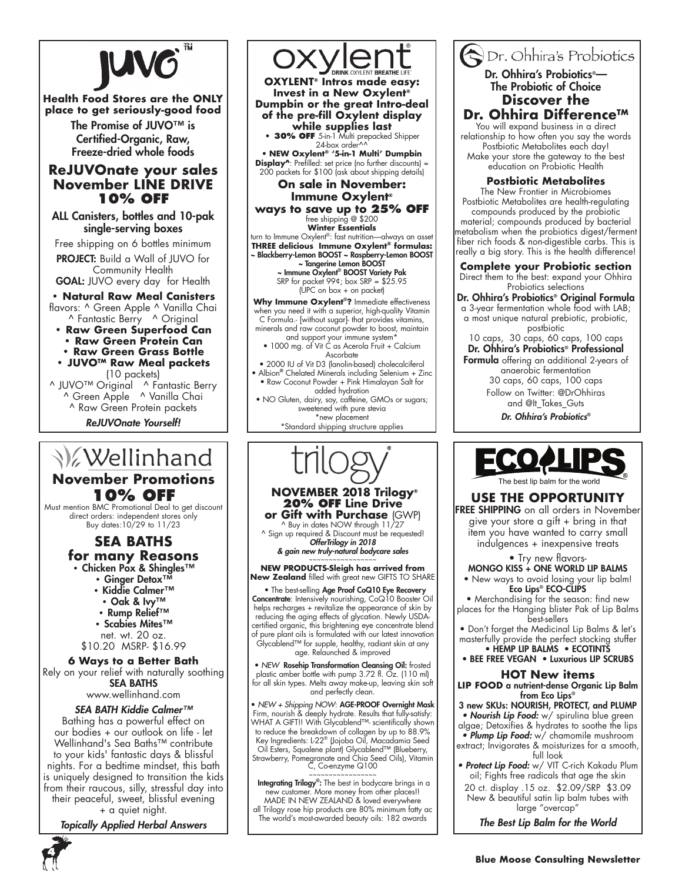

## **Health Food Stores are the ONLY place to get seriously-good food**

The Promise of JUVO™ is Certified-Organic, Raw, Freeze-dried whole foods

## **ReJUVOnate your sales November LINE DRIVE 10% OFF**

ALL Canisters, bottles and 10-pak single-serving boxes

Free shipping on 6 bottles minimum PROJECT: Build a Wall of JUVO for

Community Health GOAL: JUVO every day for Health

## **• Natural Raw Meal Canisters** flavors: ^ Green Apple ^ Vanilla Chai ^ Fantastic Berry ^ Original

**• Raw Green Superfood Can** 

**• Raw Green Protein Can** 

**• Raw Green Grass Bottle** 

**• JUVO™ Raw Meal packets**  (10 packets) ^ JUVO™ Original ^ Fantastic Berry

^ Green Apple ^ Vanilla Chai ^ Raw Green Protein packets

ReJUVOnate Yourself!

# **V**ellinhand

**November Promotions 10% OFF** 

Must mention BMC Promotional Deal to get discount direct orders: independent stores only Buy dates:10/29 to 11/23

## **SEA BATHS for many Reasons**

**•** Chicken Pox & Shingles™ **•** Ginger Detox™

- Kiddie Calmer™
- 
- Oak & Ivy™
- Rump Relief™ **•** Scabies Mites™
- net. wt. 20 oz.
- \$10.20 MSRP- \$16.99

## **6 Ways to a Better Bath**

Rely on your relief with naturally soothing SEA BATHS www.wellinhand.com

## SEA BATH Kiddie Calmer™

Bathing has a powerful effect on our bodies + our outlook on life - let Wellinhand's Sea Baths™ contribute to your kids' fantastic days & blissful nights. For a bedtime mindset, this bath is uniquely designed to transition the kids from their raucous, silly, stressful day into their peaceful, sweet, blissful evening

+ a quiet night.

Topically Applied Herbal Answers



**Invest in a New Oxylent® Dumpbin or the great Intro-deal of the pre-fill Oxylent display while supplies last**

**• 30% OFF** 5-in-1 Multi prepacked Shipper 24-box order^^

• **NEW Oxylent® '5-in-1 Multi' Dumpbin Display^**: Prefilled: set price (no further discounts) = 200 packets for \$100 (ask about shipping details)

**On sale in November: Immune Oxylent® ways to save up to 25% OFF**

free shipping @ \$200 **Winter Essentials**

turn to Immune Oxylent®: fast nutrition—always an asset **THREE delicious Immune Oxylent® formulas:** ~ Blackberry-Lemon BOOST ~ Raspberry-Lemon BOOST

~ Tangerine Lemon BOOST ~ Immune Oxylent® BOOST Variety Pak SRP for packet 99¢; box SRP = \$25.95

(UPC on box + on packet)

**Why Immune Oxylent**®**?** Immediate effectiveness when you need it with a superior, high-quality Vitamin C Formula.- [without sugar]- that provides vitamins, minerals and raw coconut powder to boost, maintain

and support your immune system\* • 1000 mg. of Vit C as Acerola Fruit + Calcium Ascorbate

- 2000 IU of Vit D3 (lanolin-based) cholecalciferol • Albion® Chelated Minerals including Selenium + Zinc
- Raw Coconut Powder + Pink Himalayan Salt for added hydration

• NO Gluten, dairy, soy, caffeine, GMOs or sugars; sweetened with pure stevia \*new placement

\*Standard shipping structure applies

# **NOVEMBER 2018 Trilogy® 20% OFF Line Drive or Gift with Purchase** (GWP)

^ Buy in dates NOW through 11/27  $^{\wedge}$  Sign up required & Discount must be requested!<br>**OfferTrilogy in 2018** 

& gain new truly-natural bodycare sales

~~~~~~~~~~~~~~~~~ **NEW PRODUCTS-Sleigh has arrived from New Zealand** filled with great new GIFTS TO SHARE

 • The best-selling Age Proof CoQ10 Eye Recovery **Concentrate**: Intensively nourishing, CoQ10 Booster Oil helps recharges + revitalize the appearance of skin by reducing the aging effects of glycation. Newly USDAcertified organic, this brightening eye concentrate blend of pure plant oils is formulated with our latest innovation Glycablend™ for supple, healthy, radiant skin at any age. Relaunched & improved

• *NEW* Rosehip Transformation Cleansing Oil: frosted plastic amber bottle with pump 3.72 fl. Oz. (110 ml) for all skin types. Melts away make-up, leaving skin soft and perfectly clean.

• *NEW + Shipping NOW*: AGE-PROOF Overnight Mask Firm, nourish & deeply hydrate. Results that fully-satisfy: WHAT A GIFT!! With Glycablend™- scientifically shown to reduce the breakdown of collagen by up to 88.9% Key Ingredients: L-22® (Jojoba Oil, Macadamia Seed Oil Esters, Squalene plant) Glycablend™ (Blueberry, Strawberry, Pomegranate and Chia Seed Oils), Vitamin C, Co-enzyme Q100

Integrating Trilogy®: The best in bodycare brings in a new customer. More money from other places!!

MADE IN NEW ZEALAND & loved everywhere all Trilogy rose hip products are 80% minimum fatty ac The world's most-awarded beauty oils: 182 awards

## Or. Ohhira's Probiotics Dr. Ohhira's Probiotics<sup>®</sup>— The Probiotic of Choice **Discover the Dr. Ohhira Difference™**

You will expand business in a direct relationship to how often you say the words Postbiotic Metabolites each day! Make your store the gateway to the best education on Probiotic Health

## **Postbiotic Metabolites**

The New Frontier in Microbiomes Postbiotic Metabolites are health-regulating compounds produced by the probiotic material; compounds produced by bacterial metabolism when the probiotics digest/ferment fiber rich foods & non-digestible carbs. This is really a big story. This is the health difference!

**Complete your Probiotic section**

Direct them to the best: expand your Ohhira Probiotics selections

Dr. Ohhira's Probiotics® Original Formula a 3-year fermentation whole food with LAB; a most unique natural prebiotic, probiotic, postbiotic

10 caps, 30 caps, 60 caps, 100 caps Dr. Ohhira's Probiotics® Professional

Formula offering an additional 2-years of anaerobic fermentation 30 caps, 60 caps, 100 caps Follow on Twitter: @DrOhhiras and @It\_Takes\_Guts

Dr. Ohhira's Probiotics®



## **USE THE OPPORTUNITY**

FREE SHIPPING on all orders in November give your store a gift + bring in that item you have wanted to carry small indulgences + inexpensive treats

#### • Try new flavors-MONGO KISS + ONE WORLD LIP BALMS

• New ways to avoid losing your lip balm! Eco Lips<sup>®</sup> ECO-CLIPS

• Merchandising for the season: find new places for the Hanging blister Pak of Lip Balms best-sellers

• Don't forget the Medicinal Lip Balms & let's masterfully provide the perfect stocking stuffer • HEMP LIP BALMS • ECOTINTS

• BEE FREE VEGAN • Luxurious LIP SCRUBS

## **HOT New items**

**LIP FOOD** a nutrient-dense Organic Lip Balm from Eco Lips<sup>®</sup>

3 new SKUs: NOURISH, PROTECT, and PLUMP • Nourish Lip Food: w/ spirulina blue green algae; Detoxifies & hydrates to soothe the lips • Plump Lip Food: w/ chamomile mushroom extract; Invigorates & moisturizes for a smooth,

full look • Protect Lip Food: w/ VIT C-rich Kakadu Plum

oil; Fights free radicals that age the skin 20 ct. display .15 oz. \$2.09/SRP \$3.09

New & beautiful satin lip balm tubes with large "overcap"

The Best Lip Balm for the World

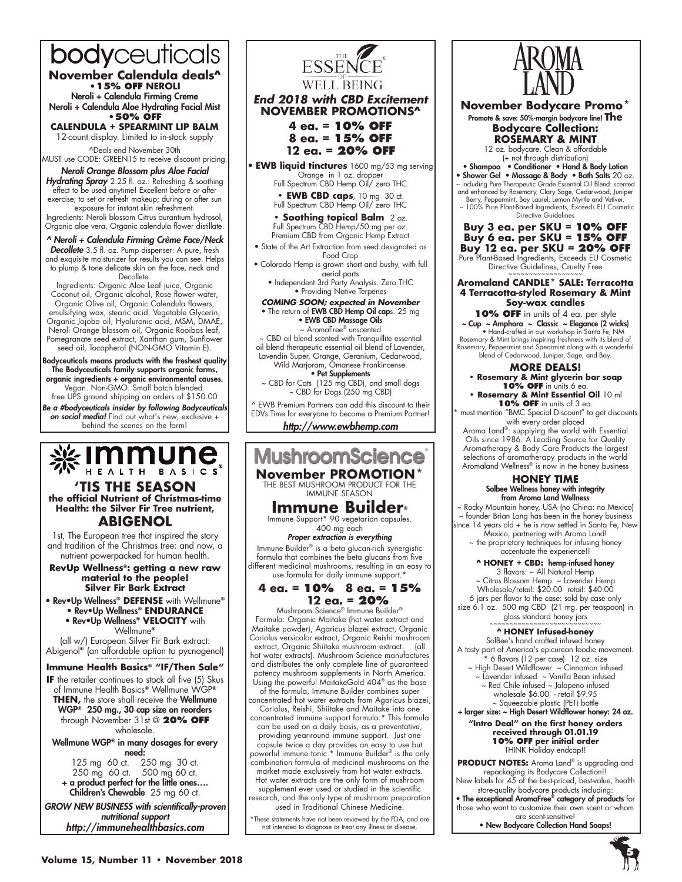# bodyceuticals

**November Calendula deals^ •15% OFF NEROLI**

Neroli + Calendula Firming Creme Neroli + Calendula Aloe Hydrating Facial Mist **•50% OFF** 

**CALENDULA + SPEARMINT LIP BALM**  12-count display. Limited to in-stock supply

^Deals end November 30th MUST use CODE: GREEN15 to receive discount pricing.

## Neroli Orange Blossom plus Aloe Facial

Hydrating Spray 2.25 fl. oz.: Refreshing & soothing effect to be used anytime! Excellent before or after exercise; to set or refresh makeup; during or after sun exposure for instant skin refreshment.

Ingredients: Neroli blossom Citrus aurantium hydrosol, Organic aloe vera, Organic calendula flower distillate.

## ^ Neroli + Calendula Firming Crème Face/Neck

Decollete 3.5 fl. oz. Pump dispenser: A pure, fresh and exquisite moisturizer for results you can see. Helps to plump & tone delicate skin on the face, neck and Decollete.

Ingredients: Organic Aloe Leaf juice, Organic Coconut oil, Organic alcohol, Rose flower water, Organic Olive oil, Organic Calendula flowers, emulsifying wax, stearic acid, Vegetable Glycerin, Organic Jojoba oil, Hyaluronic acid, MSM, DMAE, Neroli Orange blossom oil, Organic Rooibos leaf, Pomegranate seed extract, Xanthan gum, Sunflower seed oil, Tocopherol (NON-GMO Vitamin E).

Bodyceuticals means products with the freshest quality The Bodyceuticals family supports organic farms, organic ingredients + organic environmental causes. Vegan. Non-GMO. Small batch blended. free UPS ground shipping on orders of \$150.00

Be a #bodyceuticals insider by following Bodyceuticals on social media! Find out what's new, exclusive + behind the scenes on the farm!



## **'TIS THE SEASON the official Nutrient of Christmas-time Health: the Silver Fir Tree nutrient, ABIGENOL**

1st, The European tree that inspired the story and tradition of the Christmas tree: and now, a nutrient powerpacked for human health.

#### **RevUp Wellness®: getting a new raw material to the people! Silver Fir Bark Extract**

• Rev•Up Wellness**® DEFENSE** with Wellmune**®**

• Rev•Up Wellness**® ENDURANCE** 

• Rev•Up Wellness**® VELOCITY** with

Wellmune**®**

(all w/) European Silver Fir Bark extract: Abigenol<sup>®</sup> (an affordable option to pycnogenol)

## **Immune Health Basics® "IF/Then Sale"**

**IF** the retailer continues to stock all five (5) Skus of Immune Health Basics**®** Wellmune WGP**® THEN,** the store shall receive the Wellmune WGP**®** 250 mg., 30 cap size on reorders through November 31st @ **20% OFF** wholesale.

Wellmune WGP**®** in many dosages for every need:

125 mg 60 ct. 250 mg 30 ct.<br>250 mg 60 ct. 500 mg 60 ct. 500 mg 60 ct. + a product perfect for the little ones…. Children's Chewable 25 mg 60 ct.

GROW NEW BUSINESS with scientifically-proven *nutritional support* http://immunehealthbasics.com



## *End 2018 with CBD Excitement* **NOVEMBER PROMOTIONS^**

**4 ea. = 10% off 8 ea. = 15% off 12 ea. = 20% off**

• **EWB liquid tinctures** 1600 mg/53 mg serving

Orange in 1 oz. dropper Full Spectrum CBD Hemp Oil/ zero THC

**• EWB CBD caps**, 10 mg 30 ct.

Full Spectrum CBD Hemp Oil/ zero THC

**• Soothing topical Balm** 2 oz. Full Spectrum CBD Hemp/50 mg per oz. Premium CBD from Organic Hemp Extract

• State of the Art Extraction from seed designated as Food Crop

• Colorado Hemp is grown short and bushy, with full aerial parts

• Independent 3rd Party Analysis. Zero THC • Providing Native Terpenes

*COMING SOON; expected in November* • The return of EWB CBD Hemp Oil caps. 25 mg • EWB CBD Massage Oils ~ AromaFree® unscented

CBD oil blend scented with Tranquillite essential oil blend therapeutic essential oil blend of Lavender, Lavendin Super, Orange, Geranium, Cedarwood,

Wild Marjoram, Omanese Frankincense.<br>• **Pet Supplements** ~ CBD for Cats (125 mg CBD), and small dogs

~ CBD for Dogs (250 mg CBD)

^ EWB Premium Partners can add this discount to their EDVs.Time for everyone to become a Premium Partner! http://www.ewbhemp.com



market made exclusively from hot water extracts. Hot water extracts are the only form of mushroom

supplement ever used or studied in the scientific research, and the only type of mushroom preparation used in Traditional Chinese Medicine.

\*These statements have not been reviewed by the FDA, and are not intended to diagnose or treat any illness or disease.



**November Bodycare Promo\*** Promote & save: 50%-margin bodycare line! **The Bodycare Collection: ROSEMARY & MINT** 12 oz. bodycare. Clean & affordable

(+ not through distribution) • Shampoo • Conditioner • Hand & Body Lotion

- Shower Gel Massage & Body Bath Salts 20 oz.
- ~ including Pure Therapeutic Grade Essential Oil Blend: scented and enhanced by Rosemary, Clary Sage, Cedarwood, Juniper
- Berry, Peppermint, Bay Laurel, Lemon Myrtle and Vetiver.<br>~ 100% Pure Plant-Based Ingredients, Exceeds EU Cosmetic Directive Guidelines

**Buy 3 ea. per SKU = 10% OFF Buy 6 ea. per SKU = 15% OFF Buy 12 ea. per SKU = 20% OFF** Pure Plant-Based Ingredients, Exceeds EU Cosmetic

Directive Guidelines, Cruelty Free

#### **Aromaland CANDLE\* SALE: Terracotta 4 Terracotta-styled Rosemary & Mint Soy-wax candles**

**10% OFF** in units of 4 ea. per style ~ Cup ~ Amphora ~ Classic ~ Elegance (2 wicks) • Hand-crafted in our workshop in Santa Fe, NM Rosemary & Mint brings inspiring freshness with its blend of Rosemary, Peppermint and Spearmint along with a wonderful blend of Cedarwood, Juniper, Sage, and Bay.

## **More deals! • Rosemary & Mint glycerin bar soap**

10% OFF in units 6 ea. **• Rosemary & Mint Essential Oil** 10 ml **10% OFF** in units of 3 ea.

must mention "BMC Special Discount" to get discounts with every order placed

Aroma Land®: supplying the world with Essential Oils since 1986. A Leading Source for Quality Aromatherapy & Body Care Products the largest selections of aromatherapy products in the world Aromaland Wellness® is now in the honey business

#### **HONEY TIME**  Solbee Wellness honey with integrity

from Aroma Land Wellness

~ Rocky Mountain honey, USA (no China: no Mexico) ~ founder Brian Long has been in the honey business since 14 years old + he is now settled in Santa Fe, New Mexico, partnering with Aroma Land!

~ the proprietary techniques for infusing honey accentuate the experience!!

## **^ HONEY + CBD:** hemp-infused honey

3 flavors: ~ All Natural Hemp ~ Citrus Blossom Hemp ~ Lavender Hemp Wholesale/retail: \$20.00 retail: \$40.00 6 jars per flavor to the case: sold by case only size 6.1 oz. 500 mg CBD (21 mg. per teaspoon) in glass standard honey jars

#### **^ HONEY Infused-honey**

SolBee's hand crafted infused honey A tasty part of America's epicurean foodie movement. \* 6 flavors (12 per case) 12 oz. size ~ High Desert Wildflower ~ Cinnamon infused ~ Lavender infused ~ Vanilla Bean infused ~ Red Chile infused ~ Jalapeno infused wholesale \$6.00 - retail \$9.95 ~ Squeezable plastic (PET) bottle

#### + larger size: ~ High Desert Wildflower honey: 24 oz. **"Intro Deal" on the first honey orders received through 01.01.19 10% OFF per initial order** THINK Holiday endcap!!

**PRODUCT NOTES:** Aroma Land® is upgrading and repackaging its Bodycare Collection!!

New labels for 45 of the best-priced, best-value, health store-quality bodycare products including: • The exceptional AromaFree® category of products for

those who want to customize their own scent or whom are scent-sensitive!

• New Bodycare Collection Hand Soaps!

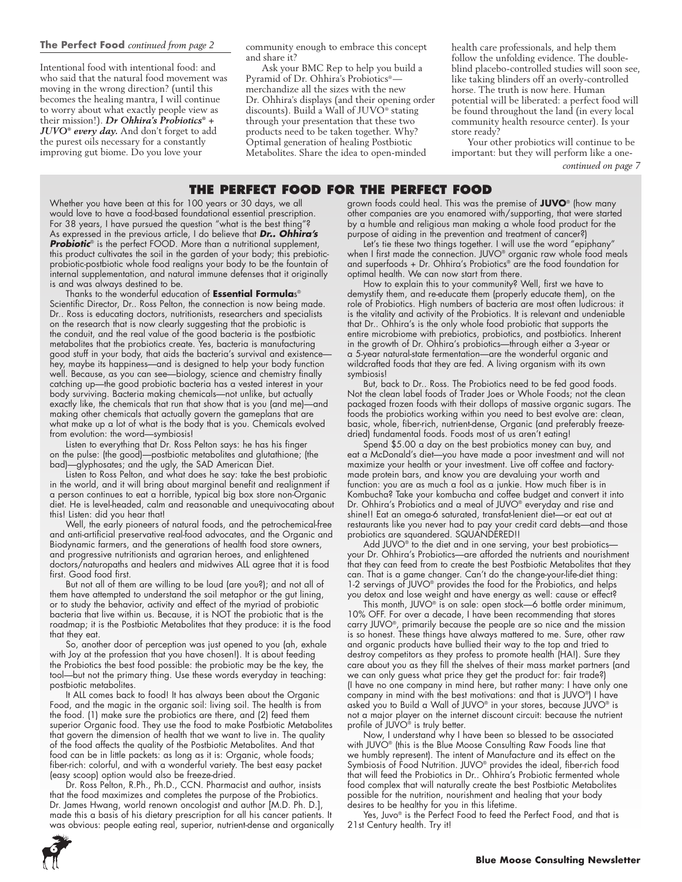Intentional food with intentional food: and who said that the natural food movement was moving in the wrong direction? (until this becomes the healing mantra, I will continue to worry about what exactly people view as their mission!). *Dr Ohhira's Probiotics® + JUVO® every day.* And don't forget to add the purest oils necessary for a constantly improving gut biome. Do you love your

community enough to embrace this concept and share it?

Ask your BMC Rep to help you build a Pyramid of Dr. Ohhira's Probiotics® merchandize all the sizes with the new Dr. Ohhira's displays (and their opening order discounts). Build a Wall of JUVO® stating through your presentation that these two products need to be taken together. Why? Optimal generation of healing Postbiotic Metabolites. Share the idea to open-minded

health care professionals, and help them follow the unfolding evidence. The doubleblind placebo-controlled studies will soon see, like taking blinders off an overly-controlled horse. The truth is now here. Human potential will be liberated: a perfect food will be found throughout the land (in every local community health resource center). Is your store ready?

Your other probiotics will continue to be important: but they will perform like a one-

*continued on page 7*

## **The Perfect Food for the Perfect Food**

Whether you have been at this for 100 years or 30 days, we all would love to have a food-based foundational essential prescription. For 38 years, I have pursued the question "what is the best thing"? As expressed in the previous article, I do believe that *Dr.. Ohhira's*  **Probiotic**® is the perfect FOOD. More than a nutritional supplement, this product cultivates the soil in the garden of your body; this prebioticprobiotic-postbiotic whole food realigns your body to be the fountain of internal supplementation, and natural immune defenses that it originally is and was always destined to be.

Thanks to the wonderful education of **Essential Formula**s® Scientific Director, Dr.. Ross Pelton, the connection is now being made. Dr.. Ross is educating doctors, nutritionists, researchers and specialists on the research that is now clearly suggesting that the probiotic is the conduit, and the real value of the good bacteria is the postbiotic metabolites that the probiotics create. Yes, bacteria is manufacturing good stuff in your body, that aids the bacteria's survival and existencehey, maybe its happiness—and is designed to help your body function well. Because, as you can see—biology, science and chemistry finally catching up—the good probiotic bacteria has a vested interest in your body surviving. Bacteria making chemicals—not unlike, but actually exactly like, the chemicals that run that show that is you (and me)—and making other chemicals that actually govern the gameplans that are what make up a lot of what is the body that is you. Chemicals evolved from evolution: the word—symbiosis!

Listen to everything that Dr. Ross Pelton says: he has his finger on the pulse: (the good)—postbiotic metabolites and glutathione; (the bad)—glyphosates; and the ugly, the SAD American Diet.

Listen to Ross Pelton, and what does he say: take the best probiotic in the world, and it will bring about marginal benefit and realignment if a person continues to eat a horrible, typical big box store non-Organic diet. He is level-headed, calm and reasonable and unequivocating about this! Listen: did you hear that!

Well, the early pioneers of natural foods, and the petrochemical-free and anti-artificial preservative real-food advocates, and the Organic and Biodynamic farmers, and the generations of health food store owners, and progressive nutritionists and agrarian heroes, and enlightened doctors/naturopaths and healers and midwives ALL agree that it is food first. Good food first.

But not all of them are willing to be loud (are you?); and not all of them have attempted to understand the soil metaphor or the gut lining, or to study the behavior, activity and effect of the myriad of probiotic bacteria that live within us. Because, it is NOT the probiotic that is the roadmap; it is the Postbiotic Metabolites that they produce: it is the food that they eat.

So, another door of perception was just opened to you (ah, exhale with Joy at the profession that you have chosen!). It is about feeding the Probiotics the best food possible: the probiotic may be the key, the tool—but not the primary thing. Use these words everyday in teaching: postbiotic metabolites.

It ALL comes back to food! It has always been about the Organic Food, and the magic in the organic soil: living soil. The health is from the food. (1) make sure the probiotics are there, and (2) feed them superior Organic food. They use the food to make Postbiotic Metabolites that govern the dimension of health that we want to live in. The quality of the food affects the quality of the Postbiotic Metabolites. And that food can be in little packets: as long as it is: Organic, whole foods; fiber-rich: colorful, and with a wonderful variety. The best easy packet (easy scoop) option would also be freeze-dried.

Dr. Ross Pelton, R.Ph., Ph.D., CCN. Pharmacist and author, insists that the food maximizes and completes the purpose of the Probiotics. Dr. James Hwang, world renown oncologist and author [M.D. Ph. D.], made this a basis of his dietary prescription for all his cancer patients. It was obvious: people eating real, superior, nutrient-dense and organically

**6**

grown foods could heal. This was the premise of **JUVO**® (how many other companies are you enamored with/supporting, that were started by a humble and religious man making a whole food product for the purpose of aiding in the prevention and treatment of cancer?)

Let's tie these two things together. I will use the word "epiphany" when I first made the connection. JUVO® organic raw whole food meals and superfoods + Dr. Ohhira's Probiotics® are the food foundation for optimal health. We can now start from there.

How to explain this to your community? Well, first we have to demystify them, and re-educate them (properly educate them), on the role of Probiotics. High numbers of bacteria are most often ludicrous: it is the vitality and activity of the Probiotics. It is relevant and undeniable that Dr.. Ohhira's is the only whole food probiotic that supports the entire microbiome with prebiotics, probiotics, and postbiotics. Inherent in the growth of Dr. Ohhira's probiotics—through either a 3-year or a 5-year natural-state fermentation—are the wonderful organic and wildcrafted foods that they are fed. A living organism with its own symbiosis!

But, back to Dr.. Ross. The Probiotics need to be fed good foods. Not the clean label foods of Trader Joes or Whole Foods; not the clean packaged frozen foods with their dollops of massive organic sugars. The foods the probiotics working within you need to best evolve are: clean, basic, whole, fiber-rich, nutrient-dense, Organic (and preferably freezedried) fundamental foods. Foods most of us aren't eating!

Spend \$5.00 a day on the best probiotics money can buy, and eat a McDonald's diet—you have made a poor investment and will not maximize your health or your investment. Live off coffee and factorymade protein bars, and know you are devaluing your worth and function: you are as much a fool as a junkie. How much fiber is in Kombucha? Take your kombucha and coffee budget and convert it into Dr. Ohhira's Probiotics and a meal of JUVO® everyday and rise and shine!! Eat an omega-6 saturated, transfat-lenient diet—or eat out at restaurants like you never had to pay your credit card debts—and those probiotics are squandered. SQUANDERED!!

Add JUVO® to the diet and in one serving, your best probioticsyour Dr. Ohhira's Probiotics—are afforded the nutrients and nourishment that they can feed from to create the best Postbiotic Metabolites that they can. That is a game changer. Can't do the change-your-life-diet thing: 1-2 servings of JUVO<sup>®</sup> provides the food for the Probiotics, and helps you detox and lose weight and have energy as well: cause or effect?

This month, JUVO® is on sale: open stock—6 bottle order minimum, 10% OFF. For over a decade, I have been recommending that stores carry JUVO®, primarily because the people are so nice and the mission is so honest. These things have always mattered to me. Sure, other raw and organic products have bullied their way to the top and tried to destroy competitors as they profess to promote health (HA!). Sure they care about you as they fill the shelves of their mass market partners (and we can only guess what price they get the product for: fair trade?) (I have no one company in mind here, but rather many: I have only one company in mind with the best motivations: and that is JUVO®) I have asked you to Build a Wall of JUVO® in your stores, because JUVO® is not a major player on the internet discount circuit: because the nutrient profile of JUVO<sup>®</sup> is truly better.

Now, I understand why I have been so blessed to be associated with JUVO<sup>®</sup> (this is the Blue Moose Consulting Raw Foods line that we humbly represent). The intent of Manufacture and its effect on the Symbiosis of Food Nutrition. JUVO® provides the ideal, fiber-rich food that will feed the Probiotics in Dr.. Ohhira's Probiotic fermented whole food complex that will naturally create the best Postbiotic Metabolites possible for the nutrition, nourishment and healing that your body desires to be healthy for you in this lifetime.

Yes, Juvo<sup>®</sup> is the Perfect Food to feed the Perfect Food, and that is 21st Century health. Try it!

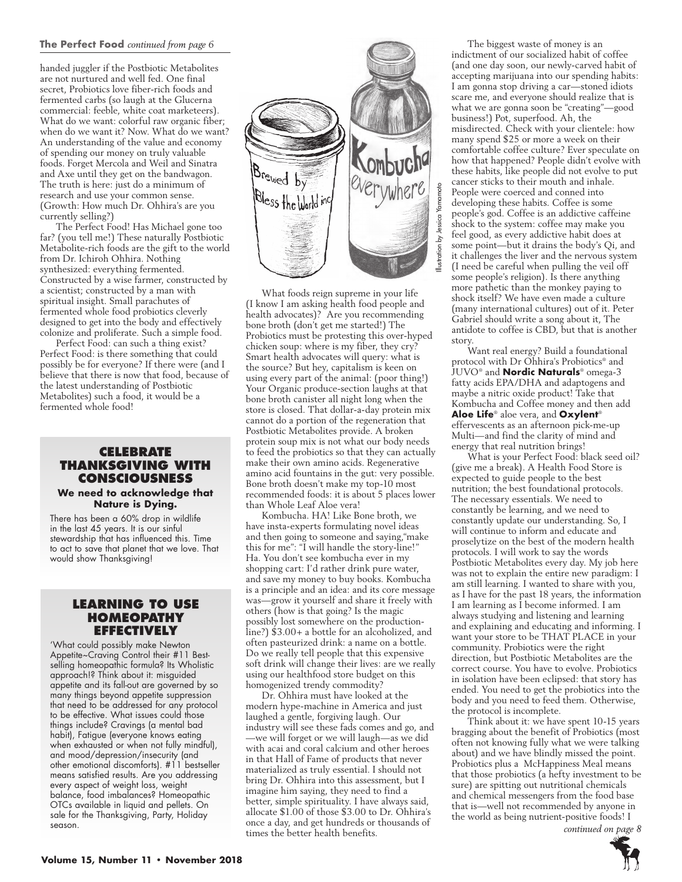## **The Perfect Food** *continued from page 6*

handed juggler if the Postbiotic Metabolites are not nurtured and well fed. One final secret, Probiotics love fiber-rich foods and fermented carbs (so laugh at the Glucerna commercial: feeble, white coat marketeers). What do we want: colorful raw organic fiber; when do we want it? Now. What do we want? An understanding of the value and economy of spending our money on truly valuable foods. Forget Mercola and Weil and Sinatra and Axe until they get on the bandwagon. The truth is here: just do a minimum of research and use your common sense. (Growth: How much Dr. Ohhira's are you currently selling?)

The Perfect Food! Has Michael gone too far? (you tell me!) These naturally Postbiotic Metabolite-rich foods are the gift to the world from Dr. Ichiroh Ohhira. Nothing synthesized: everything fermented. Constructed by a wise farmer, constructed by a scientist; constructed by a man with spiritual insight. Small parachutes of fermented whole food probiotics cleverly designed to get into the body and effectively colonize and proliferate. Such a simple food.

Perfect Food: can such a thing exist? Perfect Food: is there something that could possibly be for everyone? If there were (and I believe that there is now that food, because of the latest understanding of Postbiotic Metabolites) such a food, it would be a fermented whole food!

## **Celebrate Thanksgiving with Consciousness**

#### **We need to acknowledge that Nature is Dying.**

There has been a 60% drop in wildlife in the last 45 years. It is our sinful stewardship that has influenced this. Time to act to save that planet that we love. That would show Thanksgiving!

## **Learning to Use Homeopathy Effectively**

'What could possibly make Newton Appetite~Craving Control their #11 Bestselling homeopathic formula? Its Wholistic approach!? Think about it: misguided appetite and its fall-out are governed by so many things beyond appetite suppression that need to be addressed for any protocol to be effective. What issues could those things include? Cravings (a mental bad habit), Fatigue (everyone knows eating when exhausted or when not fully mindful), and mood/depression/insecurity (and other emotional discomforts). #11 bestseller means satisfied results. Are you addressing every aspect of weight loss, weight balance, food imbalances? Homeopathic OTCs available in liquid and pellets. On sale for the Thanksgiving, Party, Holiday season.



What foods reign supreme in your life (I know I am asking health food people and health advocates)? Are you recommending bone broth (don't get me started!) The Probiotics must be protesting this over-hyped chicken soup: where is my fiber, they cry? Smart health advocates will query: what is the source? But hey, capitalism is keen on using every part of the animal: (poor thing!) Your Organic produce-section laughs at that bone broth canister all night long when the store is closed. That dollar-a-day protein mix cannot do a portion of the regeneration that Postbiotic Metabolites provide. A broken protein soup mix is not what our body needs to feed the probiotics so that they can actually make their own amino acids. Regenerative amino acid fountains in the gut: very possible. Bone broth doesn't make my top-10 most recommended foods: it is about 5 places lower than Whole Leaf Aloe vera!

Kombucha. HA! Like Bone broth, we have insta-experts formulating novel ideas and then going to someone and saying,"make this for me": "I will handle the story-line!" Ha. You don't see kombucha ever in my shopping cart: I'd rather drink pure water, and save my money to buy books. Kombucha is a principle and an idea: and its core message was—grow it yourself and share it freely with others (how is that going? Is the magic possibly lost somewhere on the productionline?) \$3.00+ a bottle for an alcoholized, and often pasteurized drink: a name on a bottle. Do we really tell people that this expensive soft drink will change their lives: are we really using our healthfood store budget on this homogenized trendy commodity?

Dr. Ohhira must have looked at the modern hype-machine in America and just laughed a gentle, forgiving laugh. Our industry will see these fads comes and go, and —we will forget or we will laugh—as we did with acai and coral calcium and other heroes in that Hall of Fame of products that never materialized as truly essential. I should not bring Dr. Ohhira into this assessment, but I imagine him saying, they need to find a better, simple spirituality. I have always said, allocate \$1.00 of those \$3.00 to Dr. Ohhira's once a day, and get hundreds or thousands of times the better health benefits.

The biggest waste of money is an indictment of our socialized habit of coffee (and one day soon, our newly-carved habit of accepting marijuana into our spending habits: I am gonna stop driving a car—stoned idiots scare me, and everyone should realize that is what we are gonna soon be "creating"—good business!) Pot, superfood. Ah, the misdirected. Check with your clientele: how many spend \$25 or more a week on their comfortable coffee culture? Ever speculate on how that happened? People didn't evolve with these habits, like people did not evolve to put cancer sticks to their mouth and inhale. People were coerced and conned into developing these habits. Coffee is some people's god. Coffee is an addictive caffeine shock to the system: coffee may make you feel good, as every addictive habit does at some point—but it drains the body's Qi, and it challenges the liver and the nervous system (I need be careful when pulling the veil off some people's religion). Is there anything more pathetic than the monkey paying to shock itself? We have even made a culture (many international cultures) out of it. Peter Gabriel should write a song about it, The antidote to coffee is CBD, but that is another story.

Want real energy? Build a foundational protocol with Dr Ohhira's Probiotics® and JUVO® and **Nordic Naturals**® omega-3 fatty acids EPA/DHA and adaptogens and maybe a nitric oxide product! Take that Kombucha and Coffee money and then add **Aloe Life**® aloe vera, and **Oxylent**® effervescents as an afternoon pick-me-up Multi—and find the clarity of mind and energy that real nutrition brings!

What is your Perfect Food: black seed oil? (give me a break). A Health Food Store is expected to guide people to the best nutrition; the best foundational protocols. The necessary essentials. We need to constantly be learning, and we need to constantly update our understanding. So, I will continue to inform and educate and proselytize on the best of the modern health protocols. I will work to say the words Postbiotic Metabolites every day. My job here was not to explain the entire new paradigm: I am still learning. I wanted to share with you, as I have for the past 18 years, the information I am learning as I become informed. I am always studying and listening and learning and explaining and educating and informing. I want your store to be THAT PLACE in your community. Probiotics were the right direction, but Postbiotic Metabolites are the correct course. You have to evolve. Probiotics in isolation have been eclipsed: that story has ended. You need to get the probiotics into the body and you need to feed them. Otherwise, the protocol is incomplete.

Think about it: we have spent 10-15 years bragging about the benefit of Probiotics (most often not knowing fully what we were talking about) and we have blindly missed the point. Probiotics plus a McHappiness Meal means that those probiotics (a hefty investment to be sure) are spitting out nutritional chemicals and chemical messengers from the food base that is—well not recommended by anyone in the world as being nutrient-positive foods! I

 *continued on page 8*